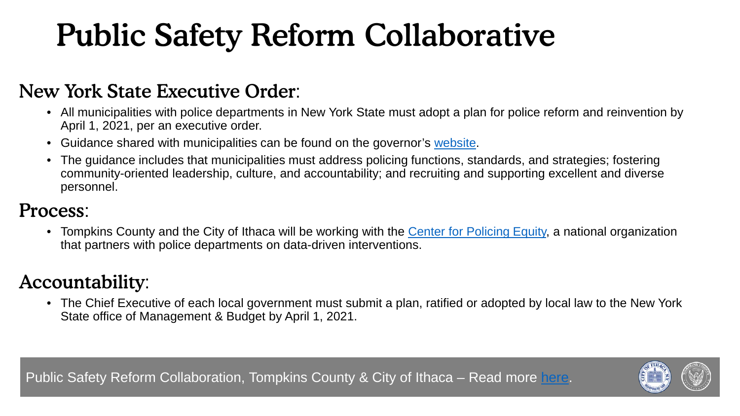# Public Safety Reform Collaborative

### New York State Executive Order:

- All municipalities with police departments in New York State must adopt a plan for police reform and reinvention by April 1, 2021, per an executive order.
- Guidance shared with municipalities can be found on the governor's [website.](https://www.governor.ny.gov/news/governor-cuomo-announces-new-guidance-police-reform-collaborative-reinvent-and-modernize)
- The guidance includes that municipalities must address policing functions, standards, and strategies; fostering community-oriented leadership, culture, and accountability; and recruiting and supporting excellent and diverse personnel.

### Process:

• Tompkins County and the City of Ithaca will be working with the [Center for Policing Equity,](https://policingequity.org/) a national organization that partners with police departments on data-driven interventions.

### Accountability:

• The Chief Executive of each local government must submit a plan, ratified or adopted by local law to the New York State office of Management & Budget by April 1, 2021.

Public Safety Reform Collaboration, Tompkins County & City of Ithaca – Read more [here.](https://tompkinscountyny.gov/news/tompkins-county-and-city-ithaca-announce-public-safety-reform-collaboration)

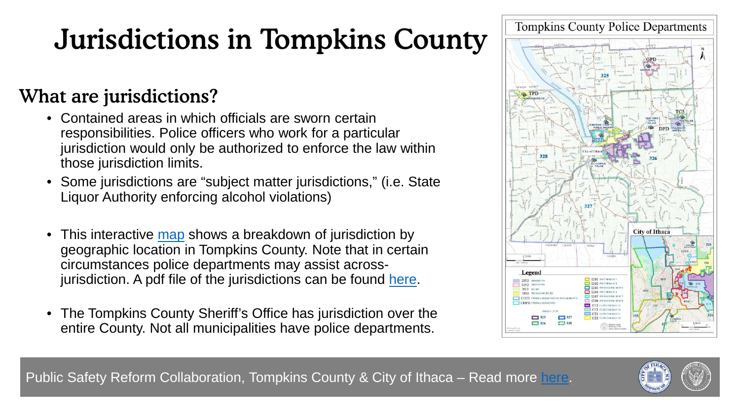# Jurisdictions in Tompkins County

### What are jurisdictions?

- Contained areas in which officials are sworn certain responsibilities. Police officers who work for a particular jurisdiction would only be authorized to enforce the law within those jurisdiction limits.
- Some jurisdictions are "subject matter jurisdictions," (i.e. State Liquor Authority enforcing alcohol violations)
- This interactive [map](https://tompkinscounty.maps.arcgis.com/apps/ZoneLookup/index.html?appid=7dbb205141c842179e5ea615a9cae87f) shows a breakdown of jurisdiction by geographic location in Tompkins County. Note that in certain circumstances police departments may assist acrossjurisdiction. A pdf file of the jurisdictions can be found [here.](https://www2.tompkinscountyny.gov/files2/gis/maps/pdfs/TCPolice2019.pdf)
- The Tompkins County Sheriff's Office has jurisdiction over the entire County. Not all municipalities have police departments.



Public Safety Reform Collaboration, Tompkins County & City of Ithaca – Read more [here.](https://tompkinscountyny.gov/news/tompkins-county-and-city-ithaca-announce-public-safety-reform-collaboration)

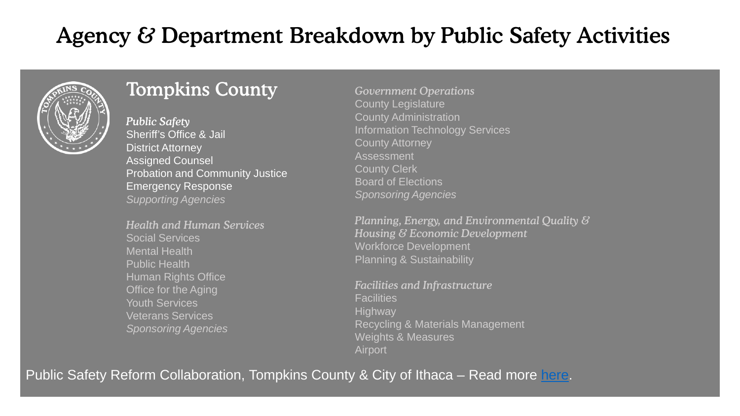# Agency & Department Breakdown by Public Safety Activities



### Tompkins County

*Public Safety* Sheriff's Office & Jail District Attorney Assigned Counsel Probation and Community Justice Emergency Response *Supporting Agencies* 

*Health and Human Services* Social Services Mental Health Public Health Human Rights Office Office for the Aging Youth Services Veterans Services *Sponsoring Agencies*

*Government Operations* County Legislature County Administration Information Technology Services County Attorney Assessment County Clerk Board of Elections *Sponsoring Agencies*

*Planning, Energy, and Environmental Quality & Housing & Economic Development* Workforce Development Planning & Sustainability

*Facilities and Infrastructure* **Facilities Highway** Recycling & Materials Management Weights & Measures Airport

Public Safety Reform Collaboration, Tompkins County & City of Ithaca – Read more [here.](https://tompkinscountyny.gov/news/tompkins-county-and-city-ithaca-announce-public-safety-reform-collaboration)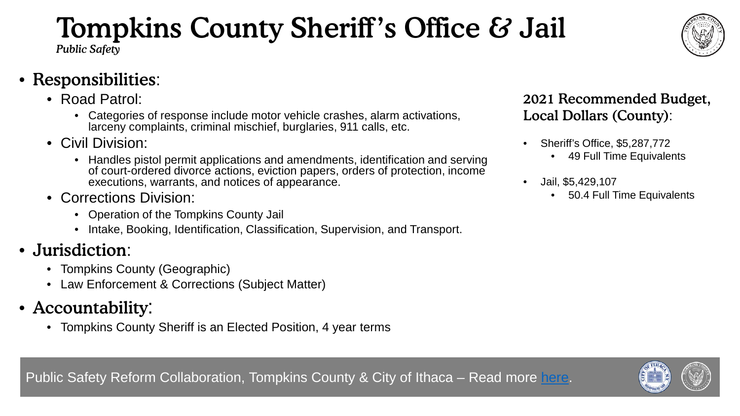# Tompkins County Sheriff's Office & Jail

*Public Safety*

- Responsibilities:
	- Road Patrol:
		- Categories of response include motor vehicle crashes, alarm activations, larceny complaints, criminal mischief, burglaries, 911 calls, etc.
	- Civil Division:
		- Handles pistol permit applications and amendments, identification and serving of court-ordered divorce actions, eviction papers, orders of protection, income executions, warrants, and notices of appearance.
	- Corrections Division:
		- Operation of the Tompkins County Jail
		- Intake, Booking, Identification, Classification, Supervision, and Transport.
- Jurisdiction:
	- Tompkins County (Geographic)
	- Law Enforcement & Corrections (Subject Matter)
- Accountability:
	- Tompkins County Sheriff is an Elected Position, 4 year terms

#### 2021 Recommended Budget, Local Dollars (County):

- Sheriff's Office, \$5,287,772
	- 49 Full Time Equivalents
- Jail, \$5,429,107
	- 50.4 Full Time Equivalents



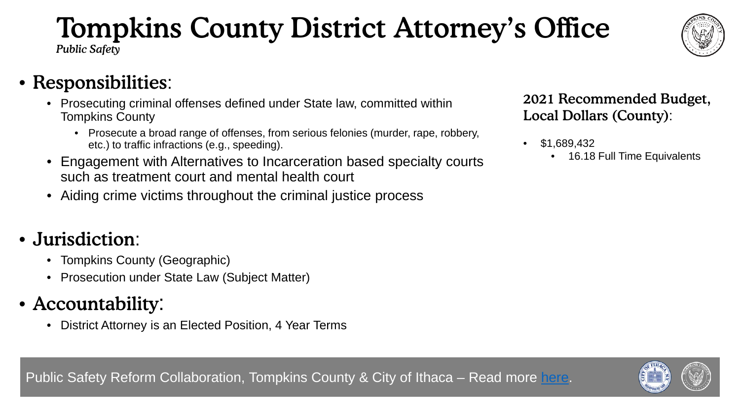#### • Responsibilities: 2021 Recommended Budget,

- Prosecuting criminal offenses defined under State law, committed within Tompkins County
	- Prosecute a broad range of offenses, from serious felonies (murder, rape, robbery, etc.) to traffic infractions (e.g., speeding).
- Engagement with Alternatives to Incarceration based specialty courts such as treatment court and mental health court
- Aiding crime victims throughout the criminal justice process

### • Jurisdiction:

- Tompkins County (Geographic)
- Prosecution under State Law (Subject Matter)

# • Accountability:

• District Attorney is an Elected Position, 4 Year Terms

Local Dollars (County):

- \$1,689,432
	- 16.18 Full Time Equivalents





# Tompkins County District Attorney's Office

*Public Safety*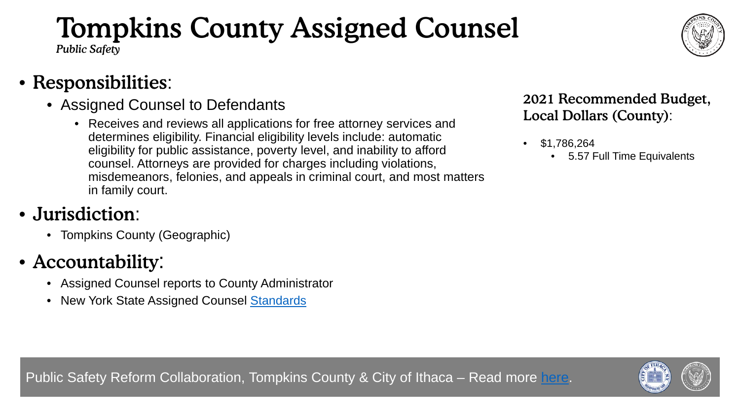# Tompkins County Assigned Counsel

*Public Safety*

### • Responsibilities:

- Assigned Counsel to Defendants
	- Receives and reviews all applications for free attorney services and determines eligibility. Financial eligibility levels include: automatic eligibility for public assistance, poverty level, and inability to afford counsel. Attorneys are provided for charges including violations, misdemeanors, felonies, and appeals in criminal court, and most matters in family court.

## • Jurisdiction:

• Tompkins County (Geographic)

# • Accountability:

- Assigned Counsel reports to County Administrator
- New York State Assigned Counsel [Standards](https://www.ils.ny.gov/files/ACP/ACP%20Black%20Letter%20Standards%20070119.pdf)

#### 2021 Recommended Budget, Local Dollars (County):

- \$1,786,264
	- 5.57 Full Time Equivalents

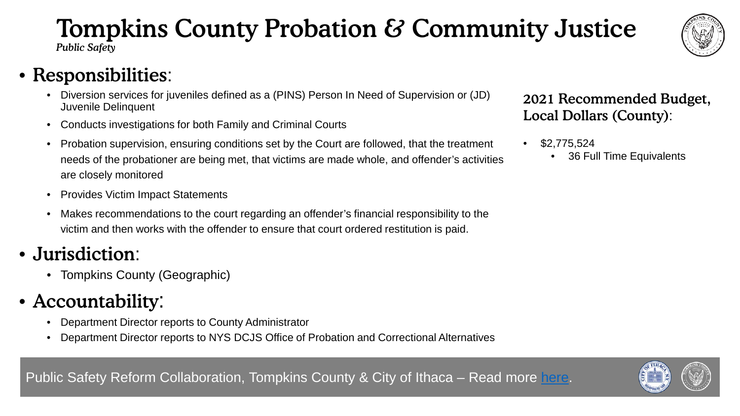#### • Probation supervision, ensuring conditions set by the Court are followed, that the treatment • \$2,775,524

- needs of the probationer are being met, that victims are made whole, and offender's activities are closely monitored
- Provides Victim Impact Statements
- Makes recommendations to the court regarding an offender's financial responsibility to the victim and then works with the offender to ensure that court ordered restitution is paid.
- Jurisdiction:
	- Tompkins County (Geographic)
- Accountability:
	- Department Director reports to County Administrator
	- Department Director reports to NYS DCJS Office of Probation and Correctional Alternatives

#### Tompkins County Probation & Community Justice *Public Safety*

• Responsibilities:

- Diversion services for juveniles defined as a (PINS) Person In Need of Supervision or (JD) Juvenile Delinquent
- Conducts investigations for both Family and Criminal Courts
- 





Local Dollars (County):

• 36 Full Time Equivalents

2021 Recommended Budget,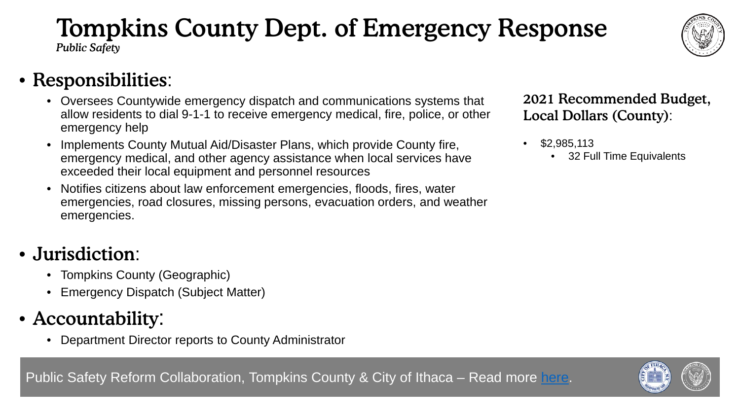# Tompkins County Dept. of Emergency Response

*Public Safety*



### • Responsibilities:

- Oversees Countywide emergency dispatch and communications systems that allow residents to dial 9-1-1 to receive emergency medical, fire, police, or other emergency help
- Implements County Mutual Aid/Disaster Plans, which provide County fire, emergency medical, and other agency assistance when local services have exceeded their local equipment and personnel resources
- Notifies citizens about law enforcement emergencies, floods, fires, water emergencies, road closures, missing persons, evacuation orders, and weather emergencies.

### • Jurisdiction:

- Tompkins County (Geographic)
- Emergency Dispatch (Subject Matter)
- Accountability:
	- Department Director reports to County Administrator

#### 2021 Recommended Budget, Local Dollars (County):

- \$2,985,113
	- 32 Full Time Equivalents